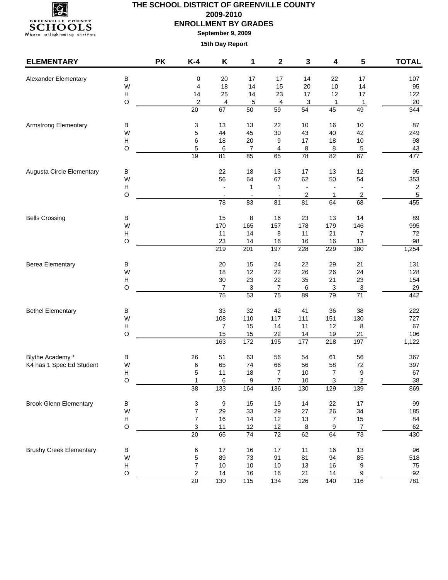

**September 9, 2009**

| <b>ELEMENTARY</b>              |                  | <b>PK</b> | $K-4$                   | Κ                | 1            | $\mathbf 2$              | 3                        | 4               | 5                              | <b>TOTAL</b>   |
|--------------------------------|------------------|-----------|-------------------------|------------------|--------------|--------------------------|--------------------------|-----------------|--------------------------------|----------------|
| Alexander Elementary           | B                |           | 0                       | 20               | 17           | 17                       | 14                       | 22              | 17                             | 107            |
|                                | W                |           | 4                       | 18               | 14           | 15                       | 20                       | $10$            | 14                             | 95             |
|                                | H                |           | 14                      | 25               | 14           | 23                       | 17                       | 12              | 17                             | 122            |
|                                | $\circ$          |           | $\overline{\mathbf{c}}$ | 4                | 5            | 4                        | 3                        | 1               | 1                              | $20\,$         |
|                                |                  |           | 20                      | 67               | 50           | 59                       | 54                       | 45              | 49                             | 344            |
| <b>Armstrong Elementary</b>    | В                |           | 3                       | 13               | 13           | 22                       | 10                       | 16              | $10$                           | 87             |
|                                | W                |           | 5                       | 44               | 45           | 30                       | 43                       | 40              | 42                             | 249            |
|                                | H                |           | 6                       | 18               | 20           | 9                        | 17                       | 18              | $10$                           | 98             |
|                                | $\circ$          |           | 5                       | 6                | 7            | 4                        | 8                        | 8               | $\,$ 5 $\,$                    | 43             |
|                                |                  |           | 19                      | 81               | 85           | 65                       | $\overline{78}$          | $\overline{82}$ | 67                             | 477            |
| Augusta Circle Elementary      | В                |           |                         | 22               | 18           | 13                       | 17                       | 13              | 12                             | 95             |
|                                | W                |           |                         | 56               | 64           | 67                       | 62                       | 50              | 54                             | 353            |
|                                | H                |           |                         |                  | $\mathbf{1}$ | $\mathbf{1}$             | $\overline{\phantom{a}}$ |                 |                                | $\overline{c}$ |
|                                | $\circ$          |           |                         | $\blacksquare$   |              | $\overline{\phantom{m}}$ | 2                        | 1               | $\overline{c}$                 | $\,$ 5 $\,$    |
|                                |                  |           |                         | 78               | 83           | 81                       | 81                       | 64              | 68                             | 455            |
| <b>Bells Crossing</b>          | $\sf B$          |           |                         | 15               | 8            | 16                       | 23                       | 13              | 14                             | 89             |
|                                | W                |           |                         | 170              | 165          | 157                      | 178                      | 179             | 146                            | 995            |
|                                | н                |           |                         | 11               | 14           | 8                        | 11                       | 21              | 7                              | 72             |
|                                | $\circ$          |           |                         | 23               | 14           | 16                       | $16$                     | 16              | 13                             | 98             |
|                                |                  |           |                         | $\overline{219}$ | 201          | 197                      | 228                      | 229             | 180                            | 1,254          |
| <b>Berea Elementary</b>        | В                |           |                         | 20               | 15           | 24                       | 22                       | 29              | 21                             | 131            |
|                                | W                |           |                         | 18               | 12           | 22                       | 26                       | 26              | 24                             | 128            |
|                                | H                |           |                         | 30               | 23           | 22                       | 35                       | 21              | 23                             | 154            |
|                                | $\circ$          |           |                         | $\boldsymbol{7}$ | 3            | $\boldsymbol{7}$         | 6                        | 3               | $\overline{3}$<br>71           | 29             |
|                                |                  |           |                         | $\overline{75}$  | 53           | $\overline{75}$          | 89                       | 79              |                                | 442            |
| <b>Bethel Elementary</b>       | В                |           |                         | 33               | 32           | 42                       | 41                       | 36              | 38                             | 222            |
|                                | W                |           |                         | 108              | 110          | 117                      | 111                      | 151             | 130                            | 727            |
|                                | H                |           |                         | $\overline{7}$   | 15           | 14                       | 11                       | 12              | 8                              | 67             |
|                                | $\circ$          |           |                         | 15               | 15           | 22                       | 14                       | 19              | 21                             | 106            |
|                                |                  |           |                         | 163              | 172          | 195                      | 177                      | 218             | 197                            | 1,122          |
| Blythe Academy *               | В                |           | 26                      | 51               | 63           | 56                       | 54                       | 61              | 56                             | 367            |
| K4 has 1 Spec Ed Student       | W                |           | 6                       | 65               | 74           | 66                       | 56                       | 58              | 72                             | 397            |
|                                | H                |           | 5                       | 11               | 18           | 7                        | 10                       | 7               | 9                              | 67             |
|                                | $\circ$          |           | 1<br>38                 | 6<br>133         | 9<br>164     | 7<br>136                 | 10<br>130                | 3<br>129        | $\overline{\mathbf{c}}$<br>139 | $38\,$<br>869  |
|                                |                  |           |                         |                  |              |                          |                          |                 |                                |                |
| <b>Brook Glenn Elementary</b>  | $\sf B$          |           | 3                       | 9                | 15           | 19                       | 14                       | 22              | $17$                           | 99             |
|                                | W                |           | $\overline{7}$          | 29<br>16         | 33           | 29                       | 27                       | 26              | 34                             | 185<br>84      |
|                                | H<br>$\mathsf O$ |           | 7<br>3                  | 11               | 14<br>12     | 12                       | 13                       | $\overline{7}$  | $15\,$                         | 62             |
|                                |                  |           | 20                      | 65               | 74           | 12<br>72                 | $\bf8$<br>62             | 9<br>64         | $\frac{7}{73}$                 | 430            |
| <b>Brushy Creek Elementary</b> |                  |           |                         |                  |              |                          |                          |                 |                                |                |
|                                | B<br>W           |           | 6<br>5                  | 17<br>89         | 16<br>73     | 17<br>91                 | 11<br>81                 | 16<br>94        | 13<br>85                       | 96<br>518      |
|                                | Н                |           | $\overline{7}$          | $10$             | $10$         | $10$                     | 13                       | 16              | 9                              | 75             |
|                                | $\hbox{O}$       |           | $\sqrt{2}$              | 14               | 16           | 16                       | 21                       | 14              | 9                              | 92             |
|                                |                  |           | 20                      | 130              | 115          | 134                      | 126                      | 140             | $\frac{116}{116}$              | 781            |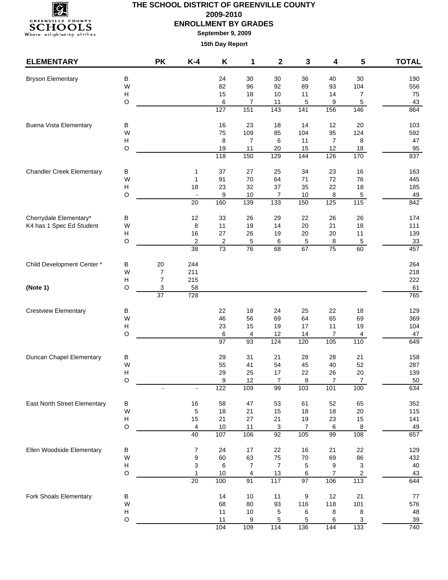

**September 9, 2009**

| <b>ELEMENTARY</b>                   |                                      | <b>PK</b>       | $K-4$                         | Κ             | 1                      | 2                    | 3               | 4                                   | 5                       | <b>TOTAL</b> |
|-------------------------------------|--------------------------------------|-----------------|-------------------------------|---------------|------------------------|----------------------|-----------------|-------------------------------------|-------------------------|--------------|
| <b>Bryson Elementary</b>            | В                                    |                 |                               | 24            | 30                     | 30                   | 36              | 40                                  | 30                      | 190          |
|                                     | W                                    |                 |                               | 82            | 96                     | 92                   | 89              | 93                                  | 104                     | 556          |
|                                     | $\boldsymbol{\mathsf{H}}$            |                 |                               | 15            | 18                     | 10                   | 11              | 14                                  | 7                       | 75           |
|                                     | $\circ$                              |                 |                               | 6             | 7                      | 11                   | 5               | 9                                   | 5                       | 43           |
|                                     |                                      |                 |                               | 127           | 151                    | $\overline{143}$     | $\frac{1}{141}$ | 156                                 | 146                     | 864          |
| <b>Buena Vista Elementary</b>       | В                                    |                 |                               | 16            | 23                     | 18                   | 14              | 12                                  | 20                      | 103          |
|                                     | W                                    |                 |                               | 75            | 109                    | 85                   | 104             | 95                                  | 124                     | 592          |
|                                     | $\boldsymbol{\mathsf{H}}$<br>$\circ$ |                 |                               | 8<br>19       | $\overline{7}$<br>11   | 6<br>20              | 11<br>15        | $\overline{7}$<br>12                | $\bf 8$<br>18           | 47<br>95     |
|                                     |                                      |                 |                               | 118           | 150                    | 129                  | 144             | 126                                 | 170                     | 837          |
| <b>Chandler Creek Elementary</b>    | В                                    |                 | $\mathbf 1$                   | 37            | 27                     | 25                   | 34              | 23                                  | 16                      | 163          |
|                                     | W                                    |                 | $\mathbf{1}$                  | 91            | 70                     | 64                   | 71              | 72                                  | 76                      | 445          |
|                                     | Н                                    |                 | 18                            | 23            | 32                     | 37                   | 35              | 22                                  | 18                      | 185          |
|                                     | $\circ$                              |                 |                               | 9             | 10                     | 7                    | 10              | 8                                   | 5<br>$\frac{115}{115}$  | 49           |
|                                     |                                      |                 | 20                            | 160           | 139                    | 133                  | 150             | 125                                 |                         | 842          |
| Cherrydale Elementary*              | B                                    |                 | 12                            | 33            | 26                     | 29                   | 22              | 26                                  | 26                      | 174          |
| K4 has 1 Spec Ed Student            | W                                    |                 | 8                             | 11            | 19                     | 14                   | 20              | 21                                  | 18                      | 111          |
|                                     | Н<br>$\circ$                         |                 | 16<br>$\overline{\mathbf{c}}$ | 27<br>2       | 26<br>5                | 19<br>6              | 20<br>5         | $20\,$<br>8                         | 11<br>$\sqrt{5}$        | 139<br>33    |
|                                     |                                      |                 | 38                            | 73            | 76                     | 68                   | 67              | 75                                  | 60                      | 457          |
| Child Development Center*           | В                                    | 20              | 244                           |               |                        |                      |                 |                                     |                         | 264          |
|                                     | W                                    | $\overline{7}$  | 211                           |               |                        |                      |                 |                                     |                         | 218          |
|                                     | Н                                    | $\overline{7}$  | 215                           |               |                        |                      |                 |                                     |                         | 222          |
| (Note 1)                            | O                                    | 3               | 58                            |               |                        |                      |                 |                                     |                         | 61           |
|                                     |                                      | $\overline{37}$ | 728                           |               |                        |                      |                 |                                     |                         | 765          |
| <b>Crestview Elementary</b>         | В                                    |                 |                               | 22            | 18                     | 24                   | 25              | 22                                  | 18                      | 129          |
|                                     | W                                    |                 |                               | 46            | 56                     | 69                   | 64              | 65                                  | 69                      | 369          |
|                                     | H                                    |                 |                               | 23            | 15                     | 19                   | 17              | 11                                  | 19                      | 104          |
|                                     | $\circ$                              |                 |                               | 6<br>97       | 4<br>$\overline{93}$   | 12<br>$\frac{1}{24}$ | 14<br>120       | $\overline{7}$<br>$\frac{105}{105}$ | $\overline{4}$<br>110   | 47<br>649    |
|                                     |                                      |                 |                               |               |                        |                      |                 |                                     |                         |              |
| Duncan Chapel Elementary            | В<br>W                               |                 |                               | 29<br>55      | 31<br>41               | 21<br>54             | 28<br>45        | 28<br>40                            | 21<br>52                | 158<br>287   |
|                                     | $\boldsymbol{\mathsf{H}}$            |                 |                               | 29            | 25                     | 17                   | 22              | 26                                  | 20                      | 139          |
|                                     | $\circ$                              |                 |                               | 9             | 12                     | 7                    | 8               | 7                                   | $\overline{7}$          | 50           |
|                                     |                                      |                 |                               | 122           | 109                    | 99                   | 103             | 101                                 | 100                     | 634          |
| <b>East North Street Elementary</b> | B                                    |                 | $16\,$                        | 58            | 47                     | 53                   | 61              | 52                                  | 65                      | 352          |
|                                     | W                                    |                 | 5                             | 18            | 21                     | 15                   | 18              | 18                                  | 20                      | 115          |
|                                     | $\boldsymbol{\mathsf{H}}$            |                 | 15                            | 21            | 27                     | 21                   | 19              | 23                                  | 15                      | 141          |
|                                     | $\circ$                              |                 | 4<br>40                       | $10\,$<br>107 | 11<br>106              | $\overline{3}$<br>92 | 7<br>105        | $6\phantom{a}$<br>99                | $\boldsymbol{8}$<br>108 | 49<br>657    |
|                                     |                                      |                 |                               |               |                        |                      |                 |                                     |                         |              |
| Ellen Woodside Elementary           | В                                    |                 | 7                             | 24            | 17                     | 22                   | 16              | 21                                  | 22                      | 129          |
|                                     | W<br>$\boldsymbol{\mathsf{H}}$       |                 | $\boldsymbol{9}$<br>3         | 60<br>6       | 63<br>$\boldsymbol{7}$ | 75<br>$\overline{7}$ | $70\,$<br>5     | 69<br>9                             | 86<br>3                 | 432<br>40    |
|                                     | $\mathsf O$                          |                 | $\mathbf{1}$                  | $10$          | 4                      | $13$                 | 6               | $\overline{7}$                      | $\overline{2}$          | 43           |
|                                     |                                      |                 | $\overline{20}$               | 100           | 91                     | 117                  | $\overline{97}$ | 106                                 | $\frac{113}{11}$        | 644          |
| Fork Shoals Elementary              | B                                    |                 |                               | 14            | 10                     | 11                   | 9               | 12                                  | 21                      | $77\,$       |
|                                     | W                                    |                 |                               | 68            | 80                     | 93                   | 116             | 118                                 | 101                     | 576          |
|                                     | $\boldsymbol{\mathsf{H}}$            |                 |                               | 11            | $10$                   | 5                    | 6               | 8                                   | 8                       | 48           |
|                                     | $\circ$                              |                 |                               | 11            | 9                      | 5                    | 5               | 6                                   | $\mathbf{3}$            | 39           |
|                                     |                                      |                 |                               | 104           | 109                    | $\frac{114}{114}$    | 136             | 144                                 | 133                     | 740          |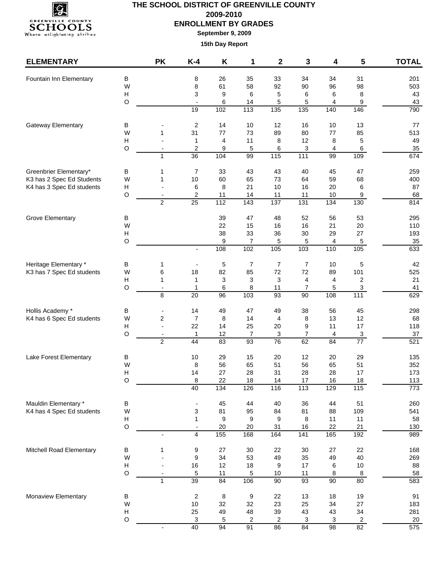

**September 9, 2009**

| <b>ELEMENTARY</b>                                      |                  | <b>PK</b>                     | $K-4$                            | K                       | 1                      | 2                | 3                     | 4              | 5                               | <b>TOTAL</b>  |
|--------------------------------------------------------|------------------|-------------------------------|----------------------------------|-------------------------|------------------------|------------------|-----------------------|----------------|---------------------------------|---------------|
| Fountain Inn Elementary                                | B                |                               | 8                                | 26                      | 35                     | 33               | 34                    | 34             | 31                              | 201           |
|                                                        | W                |                               | 8                                | 61                      | 58                     | 92               | 90                    | 96             | 98                              | 503           |
|                                                        | Н                |                               | 3                                | 9                       | 6                      | 5                | 6                     | 6              | 8                               | 43            |
|                                                        | $\circ$          |                               | $\blacksquare$                   | 6                       | 14                     | 5                | 5                     | 4              | 9                               | 43            |
|                                                        |                  |                               | 19                               | 102                     | 113                    | $\overline{135}$ | $\overline{135}$      | 140            | 146                             | 790           |
| Gateway Elementary                                     | B                |                               | $\overline{c}$                   | 14                      | 10                     | 12               | 16                    | 10             | 13                              | 77            |
|                                                        | W                | $\mathbf{1}$                  | 31                               | 77                      | 73                     | 89               | 80                    | 77             | 85                              | 513           |
|                                                        | H                |                               | 1                                | $\overline{\mathbf{4}}$ | 11                     | 8                | 12                    | 8              | 5                               | 49            |
|                                                        | $\circ$          | $\mathbf{1}$                  | $\boldsymbol{2}$<br>36           | 9<br>104                | 5<br>99                | 6<br>115         | 3<br>111              | 4<br>99        | 6<br>109                        | 35<br>674     |
|                                                        |                  |                               |                                  |                         |                        |                  |                       |                |                                 |               |
| Greenbrier Elementary*                                 | В                | 1                             | 7                                | 33                      | 43                     | 43               | 40                    | 45             | 47                              | 259           |
| K3 has 2 Spec Ed Students<br>K4 has 3 Spec Ed students | W<br>H           | 1                             | 10<br>6                          | 60<br>8                 | 65<br>21               | 73<br>10         | 64<br>16              | 59<br>20       | 68<br>6                         | 400<br>87     |
|                                                        | $\circ$          |                               | 2                                | 11                      | 14                     | 11               | 11                    | 10             | 9                               | 68            |
|                                                        |                  | 2                             | 25                               | 112                     | $\overline{143}$       | 137              | 131                   | $\frac{1}{34}$ | 130                             | 814           |
| <b>Grove Elementary</b>                                | В                |                               |                                  | 39                      | 47                     | 48               | 52                    | 56             | 53                              | 295           |
|                                                        | W                |                               |                                  | 22                      | 15                     | 16               | 16                    | 21             | 20                              | 110           |
|                                                        | н                |                               |                                  | 38                      | 33                     | 36               | 30                    | 29             | 27                              | 193           |
|                                                        | $\circ$          |                               |                                  | 9                       | $\overline{7}$         | 5                | 5                     | 4              | $\sqrt{5}$                      | 35            |
|                                                        |                  |                               | $\overline{a}$                   | 108                     | 102                    | 105              | 103                   | 110            | 105                             | 633           |
| Heritage Elementary *                                  | в                | 1                             |                                  | 5                       | 7                      | $\overline{7}$   | $\overline{7}$        | 10             | 5                               | 42            |
| K3 has 7 Spec Ed students                              | W                | 6                             | 18                               | 82                      | 85                     | 72               | $72\,$                | 89             | 101                             | 525           |
|                                                        | H                | 1                             | $\mathbf{1}$                     | 3                       | 3                      | 3                | 4                     | 4              | $\overline{\mathbf{c}}$         | 21            |
|                                                        | O                | $\overline{\phantom{a}}$<br>8 | 1<br>20                          | 6<br>$\overline{96}$    | 8<br>$\frac{103}{2}$   | 11<br>93         | $\overline{7}$<br>90  | 5<br>108       | 3<br>111                        | 41<br>629     |
|                                                        |                  |                               |                                  |                         |                        |                  |                       |                |                                 |               |
| Hollis Academy *                                       | В                |                               | 14                               | 49                      | 47                     | 49               | 38                    | 56             | 45                              | 298           |
| K4 has 6 Spec Ed students                              | W                | $\overline{\mathbf{c}}$       | $\overline{7}$                   | 8                       | 14                     | 4                | 8                     | 13             | 12                              | 68            |
|                                                        | H<br>$\circ$     | $\sim$<br>$\blacksquare$      | 22                               | 14<br>12                | 25<br>$\overline{7}$   | 20               | 9<br>$\overline{7}$   | 11<br>4        | 17                              | 118<br>$37\,$ |
|                                                        |                  | $\overline{2}$                | $\mathbf{1}$<br>44               | 83                      | $\overline{93}$        | 3<br>76          | 62                    | 84             | $\ensuremath{\mathsf{3}}$<br>77 | 521           |
| Lake Forest Elementary                                 |                  |                               |                                  |                         |                        |                  |                       |                | 29                              |               |
|                                                        | В<br>W           |                               | 10<br>8                          | 29<br>56                | 15<br>65               | 20<br>51         | 12<br>56              | 20<br>65       | 51                              | 135<br>352    |
|                                                        | H                |                               | 14                               | 27                      | 28                     | 31               | 28                    | 28             | 17                              | 173           |
|                                                        | $\circ$          |                               | 8                                | 22                      | 18                     | 14               | 17                    | 16             | 18                              | 113           |
|                                                        |                  |                               | 40                               | 134                     | 126                    | 116              | 113                   | 129            | 115                             | 773           |
| Mauldin Elementary *                                   | $\sf B$          |                               |                                  | 45                      | 44                     | 40               | 36                    | 44             | 51                              | 260           |
| K4 has 4 Spec Ed students                              | W                |                               | 3                                | 81                      | 95                     | 84               | 81                    | 88             | 109                             | 541           |
|                                                        | Н                |                               | 1                                | 9                       | 9                      | 9                | 8                     | 11             | 11                              | 58            |
|                                                        | $\circ$          |                               | $\overline{a}$<br>$\overline{4}$ | $20\,$<br>155           | 20<br>168              | 31<br>164        | 16<br>$\frac{1}{141}$ | 22<br>165      | 21<br>192                       | 130<br>989    |
|                                                        |                  |                               |                                  |                         |                        |                  |                       |                |                                 |               |
| Mitchell Road Elementary                               | B                | 1                             | 9                                | 27                      | 30                     | 22               | 30                    | 27             | 22                              | 168           |
|                                                        | W                |                               | $\boldsymbol{9}$                 | 34                      | 53                     | 49               | 35                    | 49             | 40                              | 269           |
|                                                        | Н<br>$\mathsf O$ |                               | 16<br>5                          | 12<br>11                | 18<br>5                | 9<br>$10$        | 17<br>11              | 6<br>8         | $10\,$<br>8                     | 88<br>58      |
|                                                        |                  | $\mathbf{1}$                  | 39                               | 84                      | 106                    | 90               | 93                    | 90             | 80                              | 583           |
|                                                        |                  |                               |                                  |                         |                        |                  |                       |                |                                 |               |
| Monaview Elementary                                    | $\sf B$<br>W     |                               | $\boldsymbol{2}$<br>10           | 8<br>32                 | $\boldsymbol{9}$<br>32 | 22<br>23         | 13<br>25              | 18<br>34       | 19<br>27                        | 91<br>183     |
|                                                        | Н                |                               | 25                               | 49                      | 48                     | 39               | 43                    | 43             | 34                              | 281           |
|                                                        | $\circ$          |                               | 3                                | 5                       | 2                      | 2                | 3                     | 3              | $\overline{a}$                  | 20            |
|                                                        |                  |                               | 40                               | 94                      | 91                     | 86               | 84                    | 98             | 82                              | 575           |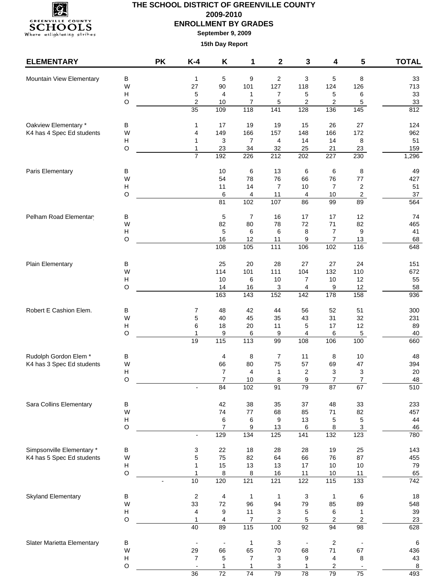

**September 9, 2009**

| <b>ELEMENTARY</b>          |                                      | <b>PK</b> | $K-4$                          | Κ                       | 1               | 2                         | 3                            | 4                 | 5                        | <b>TOTAL</b>     |
|----------------------------|--------------------------------------|-----------|--------------------------------|-------------------------|-----------------|---------------------------|------------------------------|-------------------|--------------------------|------------------|
| Mountain View Elementary   | В                                    |           | $\mathbf{1}$                   | 5                       | 9               | $\overline{c}$            | 3                            | 5                 | 8                        | 33               |
|                            | W                                    |           | 27                             | 90                      | 101             | 127                       | 118                          | 124               | 126                      | 713              |
|                            | $\boldsymbol{\mathsf{H}}$            |           | 5                              | 4                       | 1               | $\overline{7}$            | 5                            | 5                 | 6                        | 33               |
|                            | $\circ$                              |           | $\overline{\mathbf{c}}$        | 10                      | 7               | 5                         | 2                            | 2                 | 5                        | 33               |
|                            |                                      |           | 35                             | 109                     | 118             | 141                       | 128                          | 136               | 145                      | 812              |
| Oakview Elementary *       | В                                    |           | 1                              | 17                      | 19              | 19                        | 15                           | 26                | 27                       | 124              |
| K4 has 4 Spec Ed students  | W                                    |           | 4                              | 149                     | 166             | 157                       | 148                          | 166               | 172                      | 962              |
|                            | $\boldsymbol{\mathsf{H}}$            |           | $\mathbf{1}$                   | 3                       | $\overline{7}$  | 4                         | 14                           | 14                | 8                        | 51               |
|                            | $\circ$                              |           | $\mathbf{1}$<br>$\overline{7}$ | 23<br>192               | 34<br>226       | 32<br>212                 | 25<br>202                    | 21<br>227         | 23<br>230                | 159<br>1,296     |
|                            |                                      |           |                                |                         |                 |                           |                              |                   |                          |                  |
| Paris Elementary           | В<br>W                               |           |                                | 10<br>54                | 6<br>78         | 13<br>76                  | $\,6\,$<br>66                | 6<br>76           | 8<br>$77 \,$             | 49               |
|                            | Н                                    |           |                                | 11                      | 14              | $\overline{7}$            | 10                           | $\overline{7}$    | $\overline{c}$           | 427<br>51        |
|                            | $\circ$                              |           |                                | 6                       | 4               | 11                        | 4                            | $10$              | $\overline{c}$           | 37               |
|                            |                                      |           |                                | 81                      | 102             | 107                       | 86                           | 99                | 89                       | 564              |
| Pelham Road Elementar      | В                                    |           |                                | 5                       | 7               | 16                        | 17                           | 17                | 12                       | 74               |
|                            | W                                    |           |                                | 82                      | 80              | 78                        | 72                           | 71                | 82                       | 465              |
|                            | Н                                    |           |                                | 5                       | 6               | 6                         | 8                            | $\overline{7}$    | $\boldsymbol{9}$         | 41               |
|                            | $\circ$                              |           |                                | 16                      | 12              | 11                        | 9                            | $\overline{7}$    | 13                       | 68               |
|                            |                                      |           |                                | 108                     | 105             | $\frac{111}{11}$          | 106                          | 102               | 116                      | 648              |
| Plain Elementary           | В                                    |           |                                | 25                      | 20              | 28                        | 27                           | 27                | 24                       | 151              |
|                            | W                                    |           |                                | 114                     | 101             | 111                       | 104                          | 132               | 110                      | 672              |
|                            | $\boldsymbol{\mathsf{H}}$            |           |                                | 10                      | 6               | 10                        | $\overline{7}$               | $10$              | 12                       | 55               |
|                            | O                                    |           |                                | 14                      | 16              | 3                         | 4                            | 9                 | 12                       | 58               |
|                            |                                      |           |                                | 163                     | 143             | 152                       | $\frac{1}{142}$              | 178               | 158                      | 936              |
| Robert E Cashion Elem.     | В                                    |           | 7                              | 48                      | 42              | 44                        | 56                           | 52                | 51                       | 300              |
|                            | W                                    |           | 5                              | 40                      | 45              | 35                        | 43                           | 31                | 32                       | 231              |
|                            | H                                    |           | 6                              | 18                      | 20              | 11                        | 5                            | 17                | 12                       | 89               |
|                            | $\circ$                              |           | 1<br>19                        | 9<br>115                | 6<br>113        | 9<br>99                   | 4<br>108                     | 6<br>106          | $\overline{5}$<br>100    | 40<br>660        |
|                            |                                      |           |                                |                         |                 |                           |                              |                   |                          |                  |
| Rudolph Gordon Elem *      | В                                    |           |                                | 4                       | 8               | $\overline{7}$            | 11                           | 8                 | $10$                     | 48               |
| K4 has 3 Spec Ed students  | W<br>Н                               |           |                                | 66                      | 80<br>4         | 75<br>1                   | 57                           | 69                | 47                       | 394<br>20        |
|                            | $\circ$                              |           |                                | 7<br>$\overline{7}$     | 10              | 8                         | $\overline{\mathbf{c}}$<br>9 | 3<br>7            | 3<br>$\overline{7}$      | 48               |
|                            |                                      |           |                                | 84                      | 102             | 91                        | 79                           | 87                | 67                       | 510              |
|                            |                                      |           |                                |                         |                 |                           |                              |                   |                          |                  |
| Sara Collins Elementary    | В<br>W                               |           |                                | 42<br>74                | 38<br>$77 \,$   | 35<br>68                  | 37<br>85                     | 48<br>71          | 33<br>82                 | 233<br>457       |
|                            | $\boldsymbol{\mathsf{H}}$            |           |                                | 6                       | 6               | 9                         | 13                           | 5                 | 5                        | 44               |
|                            | $\circ$                              |           |                                | $\overline{7}$          | 9               | 13                        | 6                            | 8                 | $\mathbf{3}$             | 46               |
|                            |                                      |           | $\overline{\phantom{a}}$       | 129                     | $\frac{1}{134}$ | 125                       | 141                          | $\overline{132}$  | 123                      | 780              |
| Simpsonville Elementary *  | В                                    |           | 3                              | 22                      | 18              | 28                        | 28                           | 19                | 25                       | 143              |
| K4 has 5 Spec Ed students  | W                                    |           | 5                              | 75                      | 82              | 64                        | 66                           | 76                | 87                       | 455              |
|                            | $\boldsymbol{\mathsf{H}}$            |           | $\mathbf 1$                    | 15                      | 13              | 13                        | 17                           | $10$              | 10                       | 79               |
|                            | $\circ$                              |           | $\mathbf{1}$                   | 8                       | 8               | 16                        | 11                           | $10$              | 11                       | 65               |
|                            |                                      |           | 10                             | 120                     | 121             | 121                       | 122                          | $\frac{115}{115}$ | $\overline{133}$         | $\overline{742}$ |
| <b>Skyland Elementary</b>  | B                                    |           | $\sqrt{2}$                     | $\overline{\mathbf{4}}$ | $\mathbf{1}$    | $\overline{1}$            | $\ensuremath{\mathsf{3}}$    | $\mathbf{1}$      | $\,6$                    | 18               |
|                            | W                                    |           | 33                             | $72\,$                  | 96              | 94                        | 79                           | 85                | 89                       | 548              |
|                            | $\boldsymbol{\mathsf{H}}$            |           | 4                              | 9                       | 11              | 3                         | $\,$ 5 $\,$                  | 6                 | 1                        | 39               |
|                            | $\circ$                              |           | $\mathbf{1}$                   | 4                       | 7               | 2                         | 5                            | 2                 | $\overline{c}$           | 23               |
|                            |                                      |           | 40                             | 89                      | 115             | 100                       | 92                           | 94                | 98                       | 628              |
| Slater Marietta Elementary | B                                    |           | $\overline{a}$                 | $\blacksquare$          | $\mathbf{1}$    | $\ensuremath{\mathsf{3}}$ | $\overline{\phantom{a}}$     | 2                 | $\overline{\phantom{a}}$ | $\,6\,$          |
|                            | W                                    |           | 29                             | 66                      | 65              | $70\,$                    | 68                           | 71                | 67                       | 436              |
|                            | $\boldsymbol{\mathsf{H}}$<br>$\circ$ |           | 7                              | 5<br>1                  | 7               | 3                         | $\boldsymbol{9}$<br>1        | 4                 | 8                        | 43               |
|                            |                                      |           | 36                             | 72                      | 1<br>74         | 3<br>79                   | $\overline{78}$              | 2<br>79           | 75                       | $\bf 8$<br>493   |
|                            |                                      |           |                                |                         |                 |                           |                              |                   |                          |                  |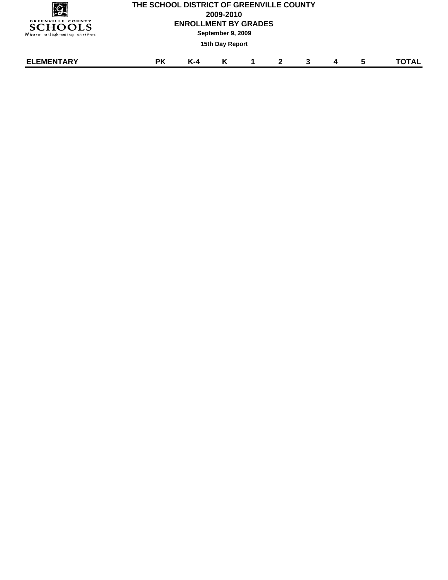| <u>g</u><br><b>GREENVILLE COUNTY</b><br><b>SCHOOLS</b><br>Where enlightening strikes |           | THE SCHOOL DISTRICT OF GREENVILLE COUNTY<br>2009-2010<br><b>ENROLLMENT BY GRADES</b><br>September 9, 2009 |                 |             |              |  |   |   |       |  |  |
|--------------------------------------------------------------------------------------|-----------|-----------------------------------------------------------------------------------------------------------|-----------------|-------------|--------------|--|---|---|-------|--|--|
|                                                                                      |           |                                                                                                           | 15th Day Report |             |              |  |   |   |       |  |  |
| <b>ELEMENTARY</b>                                                                    | <b>PK</b> | $K-4$                                                                                                     | K               | $\mathbf 1$ | $\mathbf{2}$ |  | 4 | 5 | TOTAL |  |  |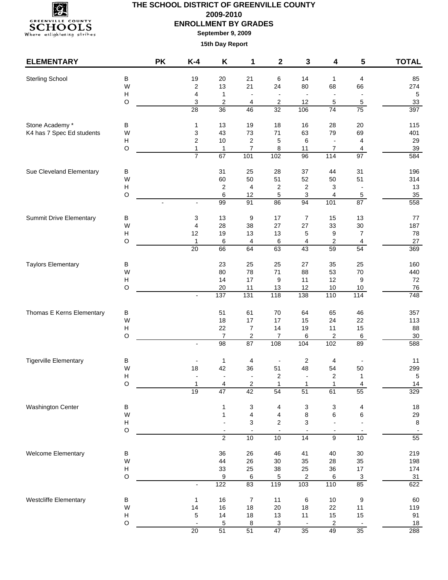

**September 9, 2009**

| <b>ELEMENTARY</b>              |                           | <b>PK</b> | $K-4$                          | Κ                                          | 1                              | $\mathbf 2$                    | 3                              | 4                                          | 5                                 | <b>TOTAL</b>      |
|--------------------------------|---------------------------|-----------|--------------------------------|--------------------------------------------|--------------------------------|--------------------------------|--------------------------------|--------------------------------------------|-----------------------------------|-------------------|
| <b>Sterling School</b>         | $\sf B$                   |           | 19                             | 20                                         | 21                             | 6                              | 14                             | 1                                          | 4                                 | 85                |
|                                | W                         |           | $\overline{\mathbf{c}}$        | 13                                         | 21                             | 24                             | 80                             | 68                                         | 66                                | 274               |
|                                | H                         |           | 4                              | $\mathbf{1}$                               | $\overline{\phantom{a}}$       | $\overline{\phantom{a}}$       | $\overline{\phantom{a}}$       | $\blacksquare$                             | $\overline{\phantom{a}}$          | $\sqrt{5}$        |
|                                | $\circ$                   |           | 3                              | 2                                          | 4                              | 2                              | 12                             | 5                                          | 5                                 | 33                |
|                                |                           |           | 28                             | 36                                         | 46                             | 32                             | 106                            | 74                                         | 75                                | 397               |
| Stone Academy *                | $\sf B$                   |           | 1                              | 13                                         | 19                             | 18                             | 16                             | 28                                         | 20                                | 115               |
| K4 has 7 Spec Ed students      | W                         |           | 3                              | 43                                         | 73                             | 71                             | 63                             | 79                                         | 69                                | 401               |
|                                | Н                         |           | $\overline{2}$                 | 10                                         | $\sqrt{2}$                     | 5                              | 6                              | $\overline{\phantom{a}}$                   | 4                                 | 29                |
|                                | $\circ$                   |           | $\mathbf{1}$<br>$\overline{7}$ | 1<br>67                                    | $\boldsymbol{7}$<br>101        | 8<br>102                       | 11<br>96                       | 7<br>114                                   | $\overline{4}$<br>97              | $39\,$<br>584     |
|                                |                           |           |                                |                                            |                                |                                |                                |                                            |                                   |                   |
| Sue Cleveland Elementary       | в                         |           |                                | 31                                         | 25                             | 28                             | 37                             | 44                                         | 31                                | 196               |
|                                | W<br>Н                    |           |                                | 60<br>2                                    | 50<br>$\overline{4}$           | 51<br>$\overline{\mathbf{c}}$  | 52<br>$\overline{c}$           | 50<br>3                                    | 51<br>$\overline{\phantom{a}}$    | 314<br>13         |
|                                | O                         |           |                                | 6                                          | 12                             | 5                              | 3                              | 4                                          | 5                                 | 35                |
|                                |                           |           | $\overline{\phantom{a}}$       | $\overline{99}$                            | 91                             | 86                             | 94                             | 101                                        | 87                                | 558               |
| <b>Summit Drive Elementary</b> | $\sf B$                   |           | 3                              | 13                                         | 9                              | 17                             | $\boldsymbol{7}$               | 15                                         | 13                                | 77                |
|                                | W                         |           | 4                              | 28                                         | 38                             | 27                             | 27                             | 33                                         | 30                                | 187               |
|                                | $\boldsymbol{\mathsf{H}}$ |           | 12                             | 19                                         | 13                             | 13                             | 5                              | 9                                          | $\overline{7}$                    | 78                |
|                                | $\circ$                   |           | $\mathbf{1}$                   | 6                                          | 4                              | $\,6\,$                        | 4                              | 2                                          | $\overline{4}$                    | 27                |
|                                |                           |           | 20                             | 66                                         | 64                             | 63                             | 43                             | 59                                         | $\overline{54}$                   | 369               |
| <b>Taylors Elementary</b>      | В                         |           |                                | 23                                         | 25                             | 25                             | 27                             | 35                                         | 25                                | 160               |
|                                | W                         |           |                                | 80                                         | 78                             | 71                             | 88                             | 53                                         | 70                                | 440               |
|                                | Н                         |           |                                | 14                                         | 17                             | 9                              | 11                             | 12                                         | 9                                 | 72                |
|                                | O                         |           | $\overline{\phantom{a}}$       | 20<br>137                                  | 11<br>$\overline{131}$         | 13<br>118                      | 12<br>138                      | $10$<br>110                                | 10<br>114                         | 76<br>748         |
|                                |                           |           |                                |                                            |                                |                                |                                |                                            |                                   |                   |
| Thomas E Kerns Elementary      | В                         |           |                                | 51                                         | 61                             | 70                             | 64                             | 65                                         | 46                                | 357               |
|                                | W                         |           |                                | 18                                         | $17$                           | 17                             | 15                             | 24                                         | 22                                | 113               |
|                                | Н<br>O                    |           |                                | 22<br>$\boldsymbol{7}$                     | $\boldsymbol{7}$<br>2          | 14<br>$\overline{7}$           | 19<br>6                        | 11<br>2                                    | 15                                | 88<br>$30\,$      |
|                                |                           |           | $\overline{\phantom{a}}$       | $\overline{98}$                            | 87                             | 108                            | 104                            | 102                                        | 6<br>89                           | 588               |
|                                |                           |           |                                |                                            |                                |                                |                                |                                            |                                   |                   |
| <b>Tigerville Elementary</b>   | В                         |           |                                | 1                                          | 4                              |                                | 2                              | 4                                          |                                   | 11                |
|                                | W<br>$\mathsf{H}$         |           | 18                             | 42<br>$\overline{\phantom{a}}$             | 36<br>$\blacksquare$           | 51<br>$\overline{\mathbf{c}}$  | 48<br>$\overline{a}$           | 54<br>2                                    | 50<br>1                           | 299<br>$\sqrt{5}$ |
|                                | O                         |           | 1                              | 4                                          | 2                              | 1                              | 1                              |                                            | 4                                 | 14                |
|                                |                           |           | 19                             | $\overline{47}$                            | 42                             | 54                             | 51                             | 61                                         | 55                                | 329               |
| <b>Washington Center</b>       | $\sf B$                   |           |                                | 1                                          | 3                              | 4                              | 3                              | 3                                          | $\overline{\mathcal{A}}$          | 18                |
|                                | W                         |           |                                | 1                                          | 4                              | 4                              | 8                              | 6                                          | 6                                 | 29                |
|                                | H                         |           |                                |                                            | 3                              | $\mathbf 2$                    | 3                              |                                            |                                   | 8                 |
|                                | $\hbox{O}$                |           |                                | $\overline{\phantom{a}}$<br>$\overline{2}$ | $\overline{\phantom{a}}$<br>10 | $\overline{\phantom{a}}$<br>10 | $\overline{\phantom{a}}$<br>14 | $\overline{\phantom{a}}$<br>$\overline{9}$ | $\blacksquare$<br>10 <sup>°</sup> | 55                |
| Welcome Elementary             | B                         |           |                                | 36                                         | 26                             | 46                             | 41                             | 40                                         | 30                                | 219               |
|                                | W                         |           |                                | 44                                         | 26                             | $30\,$                         | 35                             | 28                                         | 35                                | 198               |
|                                | H                         |           |                                | 33                                         | 25                             | 38                             | 25                             | 36                                         | 17                                | 174               |
|                                | $\circ$                   |           |                                | 9                                          | 6                              | 5                              | $\overline{\mathbf{c}}$        | 6                                          | $\overline{3}$                    | 31                |
|                                |                           |           | $\blacksquare$                 | 122                                        | 83                             | 119                            | 103                            | 110                                        | 85                                | 622               |
| <b>Westcliffe Elementary</b>   | $\sf B$                   |           | 1                              | 16                                         | $\overline{7}$                 | 11                             | 6                              | $10$                                       | 9                                 | 60                |
|                                | W                         |           | 14                             | 16                                         | 18                             | 20                             | 18                             | 22                                         | 11                                | 119               |
|                                | Н                         |           | 5                              | 14                                         | 18                             | 13                             | 11                             | 15                                         | 15                                | 91                |
|                                | $\hbox{O}$                |           |                                | 5                                          | 8                              | $\overline{3}$                 |                                | $\overline{2}$                             |                                   | <u>18</u>         |
|                                |                           |           | $\overline{20}$                | $\overline{51}$                            | $\overline{51}$                | 47                             | $\overline{35}$                | 49                                         | $\overline{35}$                   | 288               |